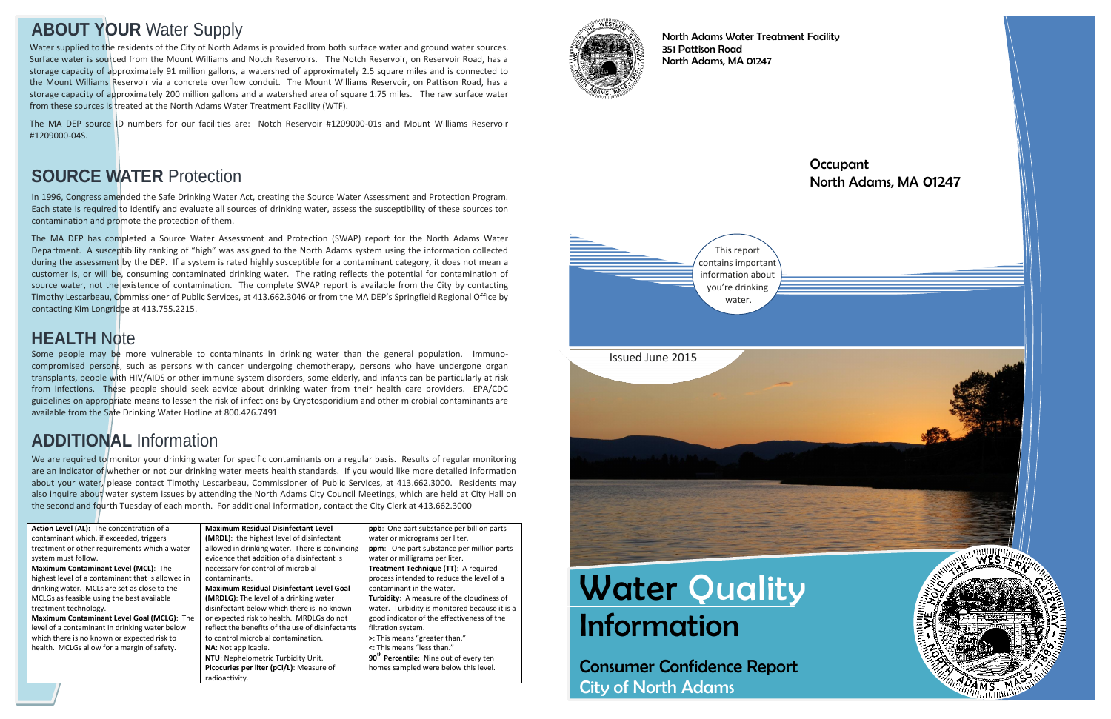# **Water Quality** Information

Consumer Confidence Report City of North Adams

### **Occupant** North Adams, MA 01247



North Adams Water Treatment Facility 351 Pattison Road North Adams, MA 01247

## **ABOUT YOUR** Water Supply

In 1996, Congress amended the Safe Drinking Water Act, creating the Source Water Assessment and Protection Program. Each state is required to identify and evaluate all sources of drinking water, assess the susceptibility of these sources ton contamination and promote the protection of them.

The MA DEP has completed a Source Water Assessment and Protection (SWAP) report for the North Adams Water Department. A susceptibility ranking of "high" was assigned to the North Adams system using the information collected during the assessment by the DEP. If a system is rated highly susceptible for a contaminant category, it does not mean a customer is, or will be, consuming contaminated drinking water. The rating reflects the potential for contamination of source water, not the existence of contamination. The complete SWAP report is available from the City by contacting Timothy Lescarbeau, Commissioner of Public Services, at 413.662.3046 or from the MA DEP's Springfield Regional Office by contacting Kim Longridge at 413.755.2215.

We are required to monitor your drinking water for specific contaminants on a regular basis. Results of regular monitoring are an indicator of whether or not our drinking water meets health standards. If you would like more detailed information about your water, please contact Timothy Lescarbeau, Commissioner of Public Services, at 413.662.3000. Residents may also inquire about water system issues by attending the North Adams City Council Meetings, which are held at City Hall on the second and fourth Tuesday of each month. For additional information, contact the City Clerk at 413.662.3000

## **SOURCE WATER** Protection

| <b>Maximum Residual</b> |
|-------------------------|
| (MRDL): the highes      |
| allowed in drinking     |
| evidence that additi    |
| necessary for contro    |
| contaminants.           |
| <b>Maximum Residual</b> |
| (MRDLG): The level      |
| disinfectant below y    |
| or expected risk to h   |
| reflect the benefits    |
| to control microbial    |
| NA: Not applicable.     |
| NTU: Nephelometrio      |
| Picocuries per liter    |
| radioactivity.          |
|                         |

**National Disinfectant Level** t level of disinfectant water. There is convincing ion of a disinfectant is ol of microbial **Matube Bear Level Goal** of a drinking water which there is no known health. MRDLGs do not of the use of disinfectants contamination. c Turbidity Unit. (pCi/L): Measure of



**ppb**: One part substance per billion parts water or micrograms per liter. **ppm**: One part substance per million parts water or milligrams per liter. **Treatment Technique (TT)**: A required process intended to reduce the level of a contaminant in the water. **Turbidity**: A measure of the cloudiness of water. Turbidity is monitored because it is a good indicator of the effectiveness of the filtration system. **>**: This means "greater than." **<**: This means "less than." **90th Percentile**: Nine out of every ten homes sampled were below this level.



## **ADDITIONAL** Information

Some people may be more vulnerable to contaminants in drinking water than the general population. Immunocompromised persons, such as persons with cancer undergoing chemotherapy, persons who have undergone organ transplants, people with HIV/AIDS or other immune system disorders, some elderly, and infants can be particularly at risk from infections. These people should seek advice about drinking water from their health care providers. EPA/CDC guidelines on appropriate means to lessen the risk of infections by Cryptosporidium and other microbial contaminants are available from the Safe Drinking Water Hotline at 800.426.7491

## **HEALTH** Note

Water supplied to the residents of the City of North Adams is provided from both surface water and ground water sources. Surface water is sourced from the Mount Williams and Notch Reservoirs. The Notch Reservoir, on Reservoir Road, has a storage capacity of approximately 91 million gallons, a watershed of approximately 2.5 square miles and is connected to the Mount Williams Reservoir via a concrete overflow conduit. The Mount Williams Reservoir, on Pattison Road, has a storage capacity of approximately 200 million gallons and a watershed area of square 1.75 miles. The raw surface water from these sources is treated at the North Adams Water Treatment Facility (WTF).

The MA DEP source ID numbers for our facilities are: Notch Reservoir #1209000-01s and Mount Williams Reservoir #1209000-04S.